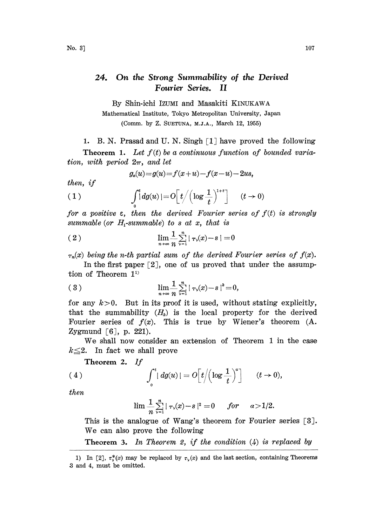## 24. On the Strong Summability of the Derived Fourier Series. II

By Shin-ichi IZUMI and Masakiti KINUKAWA Mathematical Institute, Tokyo Metropolitan University, Japan (Comm. by Z, SUETUNA, M.J.A., March 12, 1955)

1. B. N. Prasad and U. N. Singh [1] have proved the following

**Theorem 1.** Let  $f(t)$  be a continuous function of bounded variation, with period  $2\pi$ , and let

$$
g_x(u) = g(u) = f(x+u) - f(x-u) - 2us,
$$

then, if

(1) 
$$
\int_0^t dg(u) = O\left[t/\left(\log \frac{1}{t}\right)^{1+\epsilon}\right] \qquad (t \to 0)
$$

for a positive  $\varepsilon$ , then the derived Fourier series of  $f(t)$  is strongly summable (or  $H_1$ -summable) to s at x, that is

$$
\lim_{n\to\infty}\frac{1}{n}\sum_{\nu=1}^n|\,\tau_\nu(x)-s\,|=0
$$

 $\tau_n(x)$  being the n-th partial sum of the derived Fourier series of  $f(x)$ .

In the first paper  $\lceil 2 \rceil$ , one of us proved that under the assumption of Theorem 1<sup>1)</sup>

(3) 
$$
\lim_{n \to \infty} \frac{1}{n} \sum_{\nu=1}^{n} |\tau_{\nu}(x) - s|^{k} = 0,
$$

for any  $k>0$ . But in its proof it is used, without stating explicitly, that the summability  $(H_k)$  is the local property for the derived Fourier series of  $f(x)$ . This is true by Wiener's theorem  $(A.$ Zygmund [6], p. 221).

We shall now consider an extension of Theorem <sup>1</sup> in the case  $k \leq 2$ . In fact we shall prove

**Theorem 2.** If  
(4) 
$$
\int_0^t |dg(u)| = O\left[t/(\log \frac{1}{t})^{\alpha}\right] \qquad (t \to 0),
$$

then

$$
\lim\frac{1}{n}\sum\limits_{\nu=1}^n\mid \tau_{\nu}(x)-s\mid^2=0 \quad \ \ for \quad \ \ a\!>\!1/2.
$$

This is the analogue of Wang's theorem for Fourier series [3]. We can also prove the following

**Theorem 3.** In Theorem 2, if the condition  $(4)$  is replaced by

<sup>1)</sup> In [2],  $\tau_y^*(x)$  may be replaced by  $\tau_y(x)$  and the last section, containing Theorems 3 and 4, must be omitted.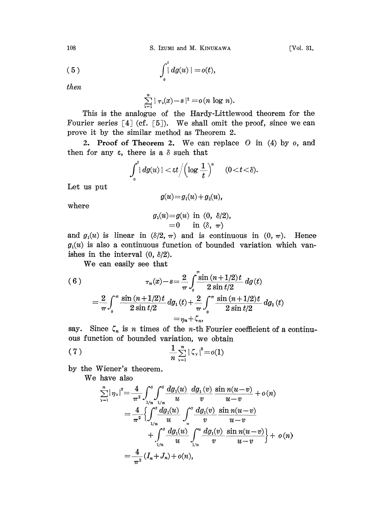108 S. Izumi and M. KINUKAWA [Vol. 31,

$$
(5) \qquad \qquad \int_0^t \vert \, dg(u) \, \vert = o(t),
$$

then

 $\sum_{\nu=1}^n |\tau_{\nu}(x)-s|^2 = o(n \log n).$ 

This is the analogue of the Hardy-Littlewood theorem for the Fourier series  $[4]$  (cf.  $[5]$ ). We shall omit the proof, since we can prove it by the similar method as Theorem 2.

2. Proof of Theorem 2. We can replace  $O$  in (4) by  $o$ , and then for any  $\varepsilon$ , there is a  $\delta$  such that

$$
\int_{0}^{t} |dg(u)| < \varepsilon t \Bigl/ \Bigl(\log \frac{1}{t}\Bigr)^{\alpha} \quad \ \ (0< t < \delta).
$$

Let us put

$$
g(u) = g1(u) + g2(u),
$$

where

$$
g_1(u)=g(u) \ \text{ in } \ (0, \ \delta/2),\\=0 \qquad \text{in } (\delta, \ \pi)
$$

and  $g_1(u)$  is linear in  $(\delta/2, \pi)$  and is continuous in  $(0, \pi)$ . Hence  $g_1(u)$  is also a continuous function of bounded variation which vanishes in the interval  $(0, \delta/2)$ .

We can easily see that

(6)  

$$
\tau_n(x) - s = \frac{2}{\pi} \int_0^{\pi} \frac{\sin (n+1/2)t}{2 \sin t/2} d g(t)
$$

$$
= \frac{2}{\pi} \int_0^{\pi} \frac{\sin (n+1/2)t}{2 \sin t/2} d g_1(t) + \frac{2}{\pi} \int_0^{\pi} \frac{\sin (n+1/2)t}{2 \sin t/2} d g_2(t)
$$

$$
= \eta_n + \zeta_n,
$$

say. Since  $\zeta_n$  is n times of the n-th Fourier coefficient of a continuous function of bounded variation, we obtain

(7) 
$$
\frac{1}{n} \sum_{\nu=1}^{n} |\zeta_{\nu}|^{2} = o(1)
$$

by the Wiener's theorem.

We have also

$$
\sum_{\nu=1}^{n} |\eta_{\nu}|^{2} = \frac{4}{\pi^{2}} \int_{1/n}^{s} \int_{1/n}^{s} \frac{dg_{1}(u)}{u} \frac{dg_{1}(v)}{v} \frac{\sin n(u-v)}{u-v} + o(n)
$$
  

$$
= \frac{4}{\pi^{2}} \left\{ \int_{1/n}^{s} \frac{dg_{1}(u)}{u} \int_{u}^{s} \frac{dg_{1}(v)}{v} \frac{\sin n(u-v)}{u-v} + \int_{1/n}^{s} \frac{dg_{1}(u)}{u} \int_{1/n}^{u} \frac{dg_{1}(v)}{v} \frac{\sin n(u-v)}{u-v} \right\} + o(n)
$$
  

$$
= \frac{4}{\pi^{2}} (I_{n} + J_{n}) + o(n),
$$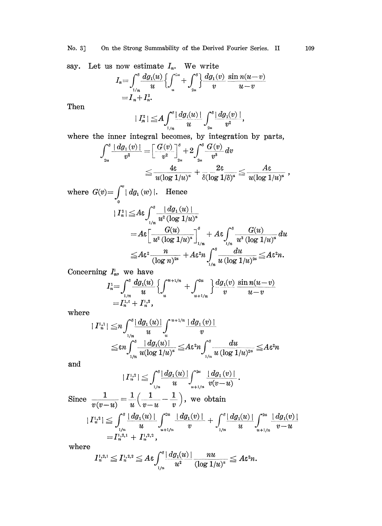say. Let us now estimate  $I_n$ . We write

$$
I_n = \int_{1/n}^s \frac{dg_1(u)}{u} \left\{ \int_u^{2u} + \int_{2u}^s \right\} \frac{dg_1(v)}{v} \frac{\sin n(u-v)}{u-v} \\ = I_n + I_n^2.
$$

Then

$$
\mid I_n^{\scriptscriptstyle 3}\!\mid\ \leq\! A\! \int_{\scriptscriptstyle 1/n}^{\scriptscriptstyle \delta} \! \mid\! dg_1\!\!(u)\! \mid \int_{\scriptscriptstyle 2u}^{\scriptscriptstyle \delta} \! \mid\! dg_1\!\!(v)\! \mid \!\! , \qquad
$$

where the inner integral becomes, by integration by parts,

$$
\begin{aligned} \int_{_{2u}}^s \frac{|\, dg_1(v)\,|}{v^2}=&\bigg[\frac{G(v)}{v^2}\bigg]_{_{2u}}^s+2\int_{_{2u}}^s \frac{G(v)}{v^3}\,dv\\ &\leq \frac{4\epsilon}{u(\log 1/u)^s}+\frac{2\epsilon}{\delta(\log 1/\delta)^s}\leq \frac{A\epsilon}{u(\log 1/u)^s}\ ,\end{aligned}
$$

where 
$$
G(v) = \int_0^v |dg_1(w)|
$$
. Hence  
\n
$$
|I_n^2| \leq A\varepsilon \int_{1/n}^s \frac{|dg_1(u)|}{u^2 (\log 1/u)^{\alpha}}
$$
\n
$$
= A\varepsilon \left[ \frac{G(u)}{u^2 (\log 1/u)^{\alpha}} \right]_{1/n}^s + A\varepsilon \int_{1/n}^s \frac{G(u)}{u^3 (\log 1/u)^{\alpha}} du
$$
\n
$$
\leq A\varepsilon^2 \frac{n}{(\log n)^{2\alpha}} + A\varepsilon^2 n \int_{1/n}^s \frac{du}{u (\log 1/u)^{2\alpha}} \leq A\varepsilon^2 n.
$$

Concerning  $I_n^{\perp}$ , we have

$$
I_n^1 = \int_{1/n}^s \frac{dg_1(u)}{u} \left\{ \int_u^{u+1/n} + \int_{u+1/n}^{2u} \right\} \frac{dg_1(v)}{v} \frac{\sin n(u-v)}{u-v} \\ = I_n^{1,t} + I_n^{1,2},
$$

where

$$
\begin{aligned}\n|I_n^{i,1}| \leq& n \int_{\frac{1}{n}}^{\delta} \frac{|\,dg_1(u)|}{u} \int_u^{\frac{u+1}{n}} \frac{|\,dg_1(v)|}{v} \\
\leq& \varepsilon n \int_{\frac{1}{n}}^{\delta} \frac{|\,dg_1(u)|}{u(\log 1/u)^{\alpha}} \leq A \varepsilon^2 n \int_{\frac{1}{n}}^{\delta} \frac{du}{u(\log 1/u)^{2\alpha}} \leq A \varepsilon^2 n\n\end{aligned}
$$

and

$$
|I_n^{1,2}| \leqq \int_{1/n}^{\delta} \frac{|dg_1(u)|}{u} \int_{u+1/n}^{2u} \frac{|dg_1(v)|}{v(v-u)}.
$$

Since  $\frac{1}{v(v-u)} = \frac{1}{u} \left( \frac{1}{v-u} - \frac{1}{v} \right)$ , we obtain

$$
|I^{1,2}_n|\leqq \int_{1/n}^\delta \frac{|\,dg_1(u)\,|}{u}\int_{u+1/n}^{2u}\frac{|\,dg_1(v)\,|}{v}+\int_{1/n}^\delta \frac{|\,dg_1(u)\,|}{u}\int_{u+1/n}^{2u}\frac{|\,dg_1(v)\,|}{v-u}
$$
  
=I^{1,2,1}\_n+I^{1,2,2}\_n,

where

$$
I_n^{1,2,1}\leq I_n^{1,2,2}\leq A\varepsilon\int_{1/n}^{\delta} \frac{ |dg_1(u)|}{u^2}\frac{nu}{(\log 1/u)^{\alpha}}\leq A\varepsilon^2 n.
$$